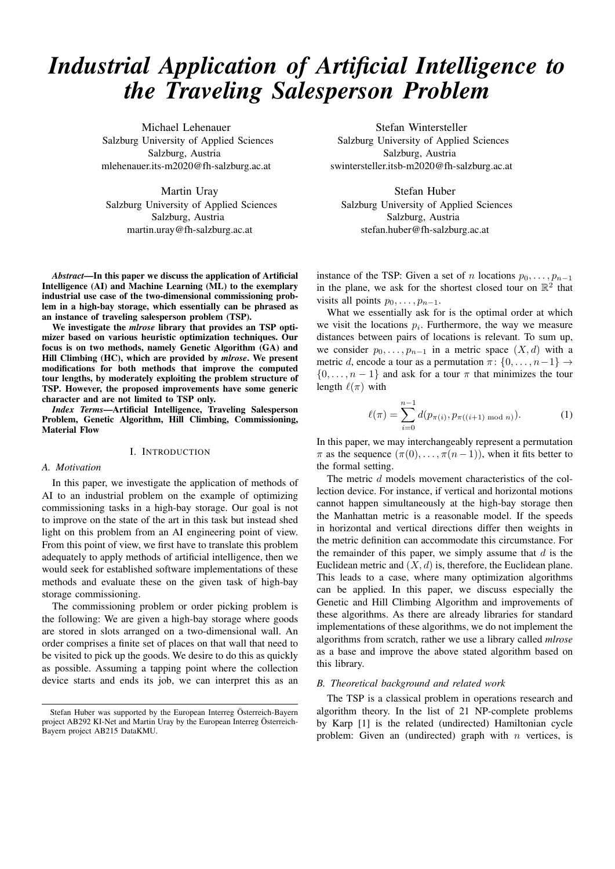# *Industrial Application of Artificial Intelligence to the Traveling Salesperson Problem*

Michael Lehenauer Salzburg University of Applied Sciences Salzburg, Austria mlehenauer.its-m2020@fh-salzburg.ac.at

Martin Uray Salzburg University of Applied Sciences Salzburg, Austria martin.uray@fh-salzburg.ac.at

*Abstract*—In this paper we discuss the application of Artificial Intelligence (AI) and Machine Learning (ML) to the exemplary industrial use case of the two-dimensional commissioning problem in a high-bay storage, which essentially can be phrased as an instance of traveling salesperson problem (TSP).

We investigate the *mlrose* library that provides an TSP optimizer based on various heuristic optimization techniques. Our focus is on two methods, namely Genetic Algorithm (GA) and Hill Climbing (HC), which are provided by *mlrose*. We present modifications for both methods that improve the computed tour lengths, by moderately exploiting the problem structure of TSP. However, the proposed improvements have some generic character and are not limited to TSP only.

*Index Terms*—Artificial Intelligence, Traveling Salesperson Problem, Genetic Algorithm, Hill Climbing, Commissioning, Material Flow

#### I. INTRODUCTION

## *A. Motivation*

In this paper, we investigate the application of methods of AI to an industrial problem on the example of optimizing commissioning tasks in a high-bay storage. Our goal is not to improve on the state of the art in this task but instead shed light on this problem from an AI engineering point of view. From this point of view, we first have to translate this problem adequately to apply methods of artificial intelligence, then we would seek for established software implementations of these methods and evaluate these on the given task of high-bay storage commissioning.

The commissioning problem or order picking problem is the following: We are given a high-bay storage where goods are stored in slots arranged on a two-dimensional wall. An order comprises a finite set of places on that wall that need to be visited to pick up the goods. We desire to do this as quickly as possible. Assuming a tapping point where the collection device starts and ends its job, we can interpret this as an

Stefan Wintersteller Salzburg University of Applied Sciences Salzburg, Austria swintersteller.itsb-m2020@fh-salzburg.ac.at

Stefan Huber Salzburg University of Applied Sciences Salzburg, Austria stefan.huber@fh-salzburg.ac.at

instance of the TSP: Given a set of n locations  $p_0, \ldots, p_{n-1}$ in the plane, we ask for the shortest closed tour on  $\mathbb{R}^2$  that visits all points  $p_0, \ldots, p_{n-1}$ .

What we essentially ask for is the optimal order at which we visit the locations  $p_i$ . Furthermore, the way we measure distances between pairs of locations is relevant. To sum up, we consider  $p_0, \ldots, p_{n-1}$  in a metric space  $(X, d)$  with a metric d, encode a tour as a permutation  $\pi$ :  $\{0, \ldots, n-1\} \rightarrow$  $\{0, \ldots, n-1\}$  and ask for a tour  $\pi$  that minimizes the tour length  $\ell(\pi)$  with

$$
\ell(\pi) = \sum_{i=0}^{n-1} d(p_{\pi(i)}, p_{\pi((i+1) \mod n)}).
$$
 (1)

In this paper, we may interchangeably represent a permutation  $\pi$  as the sequence  $(\pi(0), \ldots, \pi(n-1))$ , when it fits better to the formal setting.

The metric d models movement characteristics of the collection device. For instance, if vertical and horizontal motions cannot happen simultaneously at the high-bay storage then the Manhattan metric is a reasonable model. If the speeds in horizontal and vertical directions differ then weights in the metric definition can accommodate this circumstance. For the remainder of this paper, we simply assume that  $d$  is the Euclidean metric and  $(X, d)$  is, therefore, the Euclidean plane. This leads to a case, where many optimization algorithms can be applied. In this paper, we discuss especially the Genetic and Hill Climbing Algorithm and improvements of these algorithms. As there are already libraries for standard implementations of these algorithms, we do not implement the algorithms from scratch, rather we use a library called *mlrose* as a base and improve the above stated algorithm based on this library.

#### *B. Theoretical background and related work*

The TSP is a classical problem in operations research and algorithm theory. In the list of 21 NP-complete problems by Karp [1] is the related (undirected) Hamiltonian cycle problem: Given an (undirected) graph with  $n$  vertices, is

Stefan Huber was supported by the European Interreg Österreich-Bayern project AB292 KI-Net and Martin Uray by the European Interreg Österreich-Bayern project AB215 DataKMU.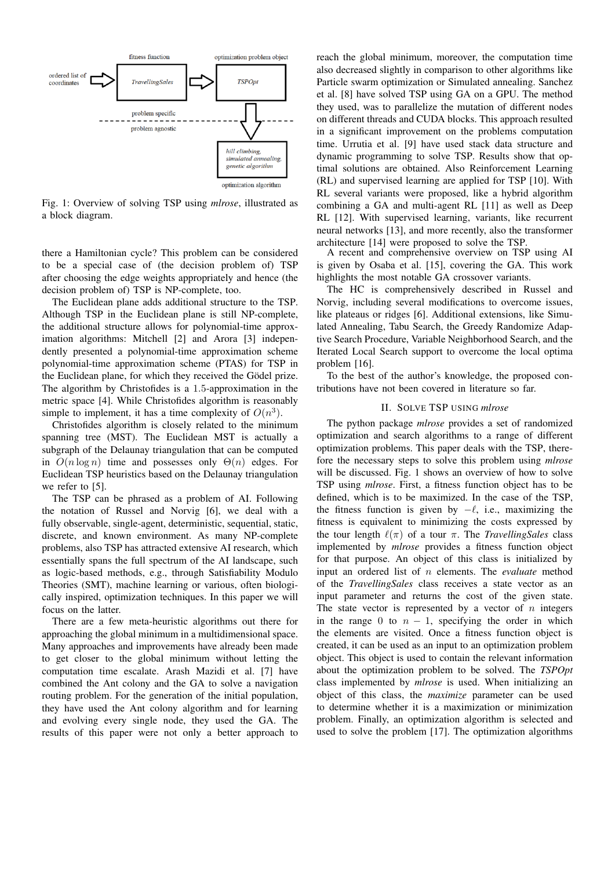

Fig. 1: Overview of solving TSP using *mlrose*, illustrated as a block diagram.

there a Hamiltonian cycle? This problem can be considered to be a special case of (the decision problem of) TSP after choosing the edge weights appropriately and hence (the decision problem of) TSP is NP-complete, too.

The Euclidean plane adds additional structure to the TSP. Although TSP in the Euclidean plane is still NP-complete, the additional structure allows for polynomial-time approximation algorithms: Mitchell [2] and Arora [3] independently presented a polynomial-time approximation scheme polynomial-time approximation scheme (PTAS) for TSP in the Euclidean plane, for which they received the Gödel prize. The algorithm by Christofides is a 1.5-approximation in the metric space [4]. While Christofides algorithm is reasonably simple to implement, it has a time complexity of  $O(n^3)$ .

Christofides algorithm is closely related to the minimum spanning tree (MST). The Euclidean MST is actually a subgraph of the Delaunay triangulation that can be computed in  $O(n \log n)$  time and possesses only  $\Theta(n)$  edges. For Euclidean TSP heuristics based on the Delaunay triangulation we refer to [5].

The TSP can be phrased as a problem of AI. Following the notation of Russel and Norvig [6], we deal with a fully observable, single-agent, deterministic, sequential, static, discrete, and known environment. As many NP-complete problems, also TSP has attracted extensive AI research, which essentially spans the full spectrum of the AI landscape, such as logic-based methods, e.g., through Satisfiability Modulo Theories (SMT), machine learning or various, often biologically inspired, optimization techniques. In this paper we will focus on the latter.

There are a few meta-heuristic algorithms out there for approaching the global minimum in a multidimensional space. Many approaches and improvements have already been made to get closer to the global minimum without letting the computation time escalate. Arash Mazidi et al. [7] have combined the Ant colony and the GA to solve a navigation routing problem. For the generation of the initial population, they have used the Ant colony algorithm and for learning and evolving every single node, they used the GA. The results of this paper were not only a better approach to

reach the global minimum, moreover, the computation time also decreased slightly in comparison to other algorithms like Particle swarm optimization or Simulated annealing. Sanchez et al. [8] have solved TSP using GA on a GPU. The method they used, was to parallelize the mutation of different nodes on different threads and CUDA blocks. This approach resulted in a significant improvement on the problems computation time. Urrutia et al. [9] have used stack data structure and dynamic programming to solve TSP. Results show that optimal solutions are obtained. Also Reinforcement Learning (RL) and supervised learning are applied for TSP [10]. With RL several variants were proposed, like a hybrid algorithm combining a GA and multi-agent RL [11] as well as Deep RL [12]. With supervised learning, variants, like recurrent neural networks [13], and more recently, also the transformer architecture [14] were proposed to solve the TSP.

A recent and comprehensive overview on TSP using AI is given by Osaba et al. [15], covering the GA. This work highlights the most notable GA crossover variants.

The HC is comprehensively described in Russel and Norvig, including several modifications to overcome issues, like plateaus or ridges [6]. Additional extensions, like Simulated Annealing, Tabu Search, the Greedy Randomize Adaptive Search Procedure, Variable Neighborhood Search, and the Iterated Local Search support to overcome the local optima problem [16].

To the best of the author's knowledge, the proposed contributions have not been covered in literature so far.

#### II. SOLVE TSP USING *mlrose*

The python package *mlrose* provides a set of randomized optimization and search algorithms to a range of different optimization problems. This paper deals with the TSP, therefore the necessary steps to solve this problem using *mlrose* will be discussed. Fig. 1 shows an overview of how to solve TSP using *mlrose*. First, a fitness function object has to be defined, which is to be maximized. In the case of the TSP, the fitness function is given by  $-\ell$ , i.e., maximizing the fitness is equivalent to minimizing the costs expressed by the tour length  $\ell(\pi)$  of a tour  $\pi$ . The *TravellingSales* class implemented by *mlrose* provides a fitness function object for that purpose. An object of this class is initialized by input an ordered list of n elements. The *evaluate* method of the *TravellingSales* class receives a state vector as an input parameter and returns the cost of the given state. The state vector is represented by a vector of  $n$  integers in the range 0 to  $n - 1$ , specifying the order in which the elements are visited. Once a fitness function object is created, it can be used as an input to an optimization problem object. This object is used to contain the relevant information about the optimization problem to be solved. The *TSPOpt* class implemented by *mlrose* is used. When initializing an object of this class, the *maximize* parameter can be used to determine whether it is a maximization or minimization problem. Finally, an optimization algorithm is selected and used to solve the problem [17]. The optimization algorithms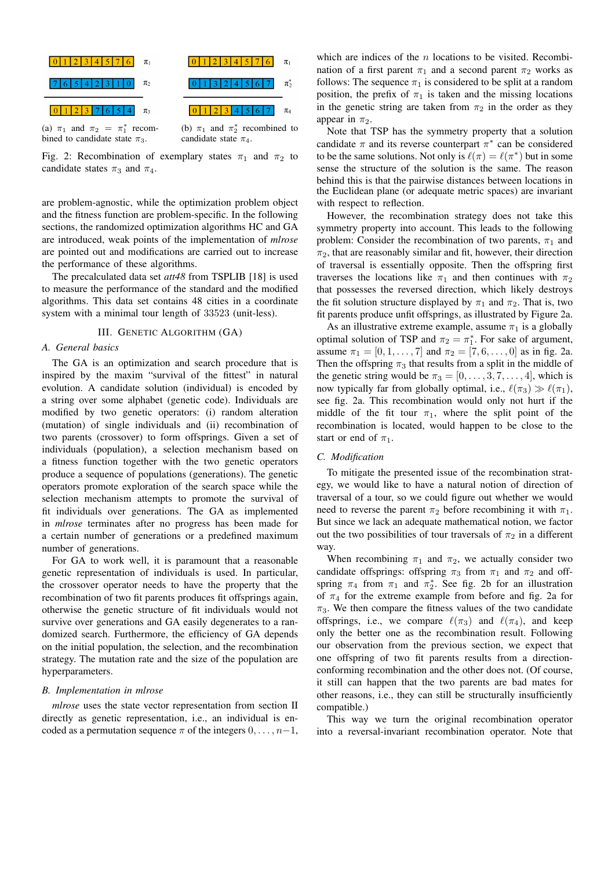

Fig. 2: Recombination of exemplary states  $\pi_1$  and  $\pi_2$  to candidate states  $\pi_3$  and  $\pi_4$ .

are problem-agnostic, while the optimization problem object and the fitness function are problem-specific. In the following sections, the randomized optimization algorithms HC and GA are introduced, weak points of the implementation of *mlrose* are pointed out and modifications are carried out to increase the performance of these algorithms.

The precalculated data set *att48* from TSPLIB [18] is used to measure the performance of the standard and the modified algorithms. This data set contains 48 cities in a coordinate system with a minimal tour length of 33523 (unit-less).

## III. GENETIC ALGORITHM (GA)

#### *A. General basics*

The GA is an optimization and search procedure that is inspired by the maxim "survival of the fittest" in natural evolution. A candidate solution (individual) is encoded by a string over some alphabet (genetic code). Individuals are modified by two genetic operators: (i) random alteration (mutation) of single individuals and (ii) recombination of two parents (crossover) to form offsprings. Given a set of individuals (population), a selection mechanism based on a fitness function together with the two genetic operators produce a sequence of populations (generations). The genetic operators promote exploration of the search space while the selection mechanism attempts to promote the survival of fit individuals over generations. The GA as implemented in *mlrose* terminates after no progress has been made for a certain number of generations or a predefined maximum number of generations.

For GA to work well, it is paramount that a reasonable genetic representation of individuals is used. In particular, the crossover operator needs to have the property that the recombination of two fit parents produces fit offsprings again, otherwise the genetic structure of fit individuals would not survive over generations and GA easily degenerates to a randomized search. Furthermore, the efficiency of GA depends on the initial population, the selection, and the recombination strategy. The mutation rate and the size of the population are hyperparameters.

#### *B. Implementation in mlrose*

*mlrose* uses the state vector representation from section II directly as genetic representation, i.e., an individual is encoded as a permutation sequence  $\pi$  of the integers  $0, \ldots, n-1$ ,

which are indices of the  $n$  locations to be visited. Recombination of a first parent  $\pi_1$  and a second parent  $\pi_2$  works as follows: The sequence  $\pi_1$  is considered to be split at a random position, the prefix of  $\pi_1$  is taken and the missing locations in the genetic string are taken from  $\pi_2$  in the order as they appear in  $\pi_2$ .

Note that TSP has the symmetry property that a solution candidate  $\pi$  and its reverse counterpart  $\pi^*$  can be considered to be the same solutions. Not only is  $\ell(\pi) = \ell(\pi^*)$  but in some sense the structure of the solution is the same. The reason behind this is that the pairwise distances between locations in the Euclidean plane (or adequate metric spaces) are invariant with respect to reflection.

However, the recombination strategy does not take this symmetry property into account. This leads to the following problem: Consider the recombination of two parents,  $\pi_1$  and  $\pi_2$ , that are reasonably similar and fit, however, their direction of traversal is essentially opposite. Then the offspring first traverses the locations like  $\pi_1$  and then continues with  $\pi_2$ that possesses the reversed direction, which likely destroys the fit solution structure displayed by  $\pi_1$  and  $\pi_2$ . That is, two fit parents produce unfit offsprings, as illustrated by Figure 2a.

As an illustrative extreme example, assume  $\pi_1$  is a globally optimal solution of TSP and  $\pi_2 = \pi_1^*$ . For sake of argument, assume  $\pi_1 = [0, 1, \dots, 7]$  and  $\pi_2 = [7, 6, \dots, 0]$  as in fig. 2a. Then the offspring  $\pi_3$  that results from a split in the middle of the genetic string would be  $\pi_3 = [0, \ldots, 3, 7, \ldots, 4]$ , which is now typically far from globally optimal, i.e.,  $\ell(\pi_3) \gg \ell(\pi_1)$ , see fig. 2a. This recombination would only not hurt if the middle of the fit tour  $\pi_1$ , where the split point of the recombination is located, would happen to be close to the start or end of  $\pi_1$ .

## *C. Modification*

To mitigate the presented issue of the recombination strategy, we would like to have a natural notion of direction of traversal of a tour, so we could figure out whether we would need to reverse the parent  $\pi_2$  before recombining it with  $\pi_1$ . But since we lack an adequate mathematical notion, we factor out the two possibilities of tour traversals of  $\pi_2$  in a different way.

When recombining  $\pi_1$  and  $\pi_2$ , we actually consider two candidate offsprings: offspring  $\pi_3$  from  $\pi_1$  and  $\pi_2$  and offspring  $\pi_4$  from  $\pi_1$  and  $\pi_2^*$ . See fig. 2b for an illustration of  $\pi_4$  for the extreme example from before and fig. 2a for  $\pi_3$ . We then compare the fitness values of the two candidate offsprings, i.e., we compare  $\ell(\pi_3)$  and  $\ell(\pi_4)$ , and keep only the better one as the recombination result. Following our observation from the previous section, we expect that one offspring of two fit parents results from a directionconforming recombination and the other does not. (Of course, it still can happen that the two parents are bad mates for other reasons, i.e., they can still be structurally insufficiently compatible.)

This way we turn the original recombination operator into a reversal-invariant recombination operator. Note that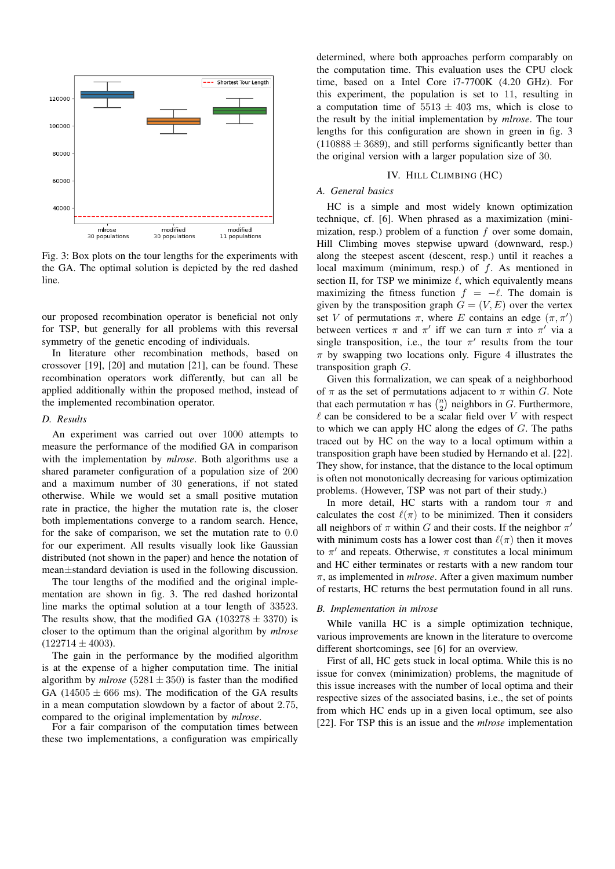

Fig. 3: Box plots on the tour lengths for the experiments with the GA. The optimal solution is depicted by the red dashed line.

our proposed recombination operator is beneficial not only for TSP, but generally for all problems with this reversal symmetry of the genetic encoding of individuals.

In literature other recombination methods, based on crossover [19], [20] and mutation [21], can be found. These recombination operators work differently, but can all be applied additionally within the proposed method, instead of the implemented recombination operator.

#### *D. Results*

An experiment was carried out over 1000 attempts to measure the performance of the modified GA in comparison with the implementation by *mlrose*. Both algorithms use a shared parameter configuration of a population size of 200 and a maximum number of 30 generations, if not stated otherwise. While we would set a small positive mutation rate in practice, the higher the mutation rate is, the closer both implementations converge to a random search. Hence, for the sake of comparison, we set the mutation rate to 0.0 for our experiment. All results visually look like Gaussian distributed (not shown in the paper) and hence the notation of mean±standard deviation is used in the following discussion.

The tour lengths of the modified and the original implementation are shown in fig. 3. The red dashed horizontal line marks the optimal solution at a tour length of 33523. The results show, that the modified GA ( $103278 \pm 3370$ ) is closer to the optimum than the original algorithm by *mlrose*  $(122714 \pm 4003)$ .

The gain in the performance by the modified algorithm is at the expense of a higher computation time. The initial algorithm by *mlrose* (5281  $\pm$  350) is faster than the modified GA  $(14505 \pm 666 \text{ ms})$ . The modification of the GA results in a mean computation slowdown by a factor of about 2.75, compared to the original implementation by *mlrose*.

For a fair comparison of the computation times between these two implementations, a configuration was empirically

determined, where both approaches perform comparably on the computation time. This evaluation uses the CPU clock time, based on a Intel Core i7-7700K (4.20 GHz). For this experiment, the population is set to 11, resulting in a computation time of  $5513 \pm 403$  ms, which is close to the result by the initial implementation by *mlrose*. The tour lengths for this configuration are shown in green in fig. 3  $(110888 \pm 3689)$ , and still performs significantly better than the original version with a larger population size of 30.

## IV. HILL CLIMBING (HC)

## *A. General basics*

HC is a simple and most widely known optimization technique, cf. [6]. When phrased as a maximization (minimization, resp.) problem of a function  $f$  over some domain, Hill Climbing moves stepwise upward (downward, resp.) along the steepest ascent (descent, resp.) until it reaches a local maximum (minimum, resp.) of  $f$ . As mentioned in section II, for TSP we minimize  $\ell$ , which equivalently means maximizing the fitness function  $f = -\ell$ . The domain is given by the transposition graph  $G = (V, E)$  over the vertex set V of permutations  $\pi$ , where E contains an edge  $(\pi, \pi')$ between vertices  $\pi$  and  $\pi'$  iff we can turn  $\pi$  into  $\pi'$  via a single transposition, i.e., the tour  $\pi'$  results from the tour  $\pi$  by swapping two locations only. Figure 4 illustrates the transposition graph G.

Given this formalization, we can speak of a neighborhood of  $\pi$  as the set of permutations adjacent to  $\pi$  within G. Note that each permutation  $\pi$  has  $\binom{n}{2}$  neighbors in G. Furthermore,  $\ell$  can be considered to be a scalar field over V with respect to which we can apply HC along the edges of  $G$ . The paths traced out by HC on the way to a local optimum within a transposition graph have been studied by Hernando et al. [22]. They show, for instance, that the distance to the local optimum is often not monotonically decreasing for various optimization problems. (However, TSP was not part of their study.)

In more detail, HC starts with a random tour  $\pi$  and calculates the cost  $\ell(\pi)$  to be minimized. Then it considers all neighbors of  $\pi$  within G and their costs. If the neighbor  $\pi'$ with minimum costs has a lower cost than  $\ell(\pi)$  then it moves to  $\pi'$  and repeats. Otherwise,  $\pi$  constitutes a local minimum and HC either terminates or restarts with a new random tour π, as implemented in *mlrose*. After a given maximum number of restarts, HC returns the best permutation found in all runs.

#### *B. Implementation in mlrose*

While vanilla HC is a simple optimization technique, various improvements are known in the literature to overcome different shortcomings, see [6] for an overview.

First of all, HC gets stuck in local optima. While this is no issue for convex (minimization) problems, the magnitude of this issue increases with the number of local optima and their respective sizes of the associated basins, i.e., the set of points from which HC ends up in a given local optimum, see also [22]. For TSP this is an issue and the *mlrose* implementation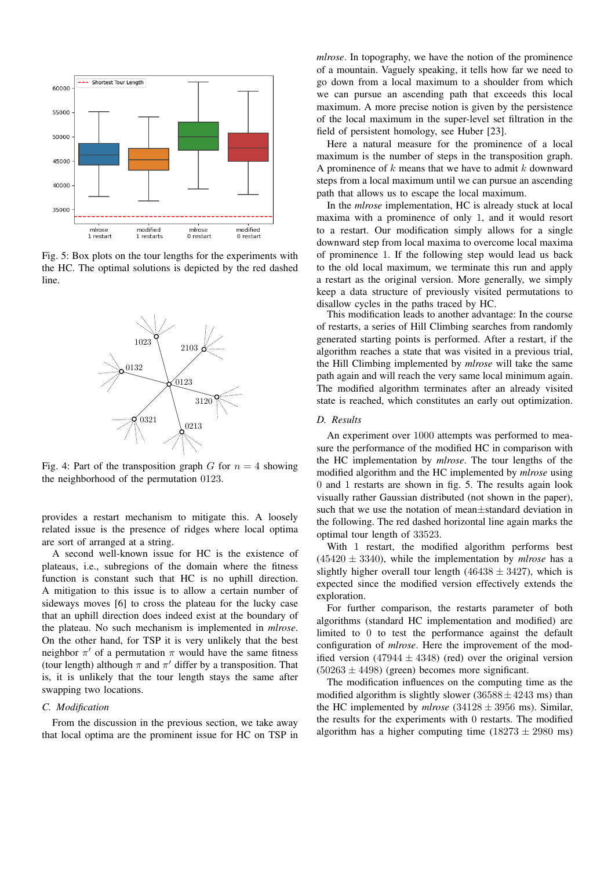

Fig. 5: Box plots on the tour lengths for the experiments with the HC. The optimal solutions is depicted by the red dashed line.



Fig. 4: Part of the transposition graph G for  $n = 4$  showing the neighborhood of the permutation 0123.

provides a restart mechanism to mitigate this. A loosely related issue is the presence of ridges where local optima are sort of arranged at a string.

A second well-known issue for HC is the existence of plateaus, i.e., subregions of the domain where the fitness function is constant such that HC is no uphill direction. A mitigation to this issue is to allow a certain number of sideways moves [6] to cross the plateau for the lucky case that an uphill direction does indeed exist at the boundary of the plateau. No such mechanism is implemented in *mlrose*. On the other hand, for TSP it is very unlikely that the best neighbor  $\pi'$  of a permutation  $\pi$  would have the same fitness (tour length) although  $\pi$  and  $\pi'$  differ by a transposition. That is, it is unlikely that the tour length stays the same after swapping two locations.

## *C. Modification*

From the discussion in the previous section, we take away that local optima are the prominent issue for HC on TSP in *mlrose*. In topography, we have the notion of the prominence of a mountain. Vaguely speaking, it tells how far we need to go down from a local maximum to a shoulder from which we can pursue an ascending path that exceeds this local maximum. A more precise notion is given by the persistence of the local maximum in the super-level set filtration in the field of persistent homology, see Huber [23].

Here a natural measure for the prominence of a local maximum is the number of steps in the transposition graph. A prominence of  $k$  means that we have to admit  $k$  downward steps from a local maximum until we can pursue an ascending path that allows us to escape the local maximum.

In the *mlrose* implementation, HC is already stuck at local maxima with a prominence of only 1, and it would resort to a restart. Our modification simply allows for a single downward step from local maxima to overcome local maxima of prominence 1. If the following step would lead us back to the old local maximum, we terminate this run and apply a restart as the original version. More generally, we simply keep a data structure of previously visited permutations to disallow cycles in the paths traced by HC.

This modification leads to another advantage: In the course of restarts, a series of Hill Climbing searches from randomly generated starting points is performed. After a restart, if the algorithm reaches a state that was visited in a previous trial, the Hill Climbing implemented by *mlrose* will take the same path again and will reach the very same local minimum again. The modified algorithm terminates after an already visited state is reached, which constitutes an early out optimization.

#### *D. Results*

An experiment over 1000 attempts was performed to measure the performance of the modified HC in comparison with the HC implementation by *mlrose*. The tour lengths of the modified algorithm and the HC implemented by *mlrose* using 0 and 1 restarts are shown in fig. 5. The results again look visually rather Gaussian distributed (not shown in the paper), such that we use the notation of mean±standard deviation in the following. The red dashed horizontal line again marks the optimal tour length of 33523.

With 1 restart, the modified algorithm performs best  $(45420 \pm 3340)$ , while the implementation by *mlrose* has a slightly higher overall tour length  $(46438 \pm 3427)$ , which is expected since the modified version effectively extends the exploration.

For further comparison, the restarts parameter of both algorithms (standard HC implementation and modified) are limited to 0 to test the performance against the default configuration of *mlrose*. Here the improvement of the modified version  $(47944 \pm 4348)$  (red) over the original version  $(50263 \pm 4498)$  (green) becomes more significant.

The modification influences on the computing time as the modified algorithm is slightly slower  $(36588 \pm 4243 \text{ ms})$  than the HC implemented by  $mlrose$  (34128  $\pm$  3956 ms). Similar, the results for the experiments with 0 restarts. The modified algorithm has a higher computing time  $(18273 \pm 2980 \text{ ms})$